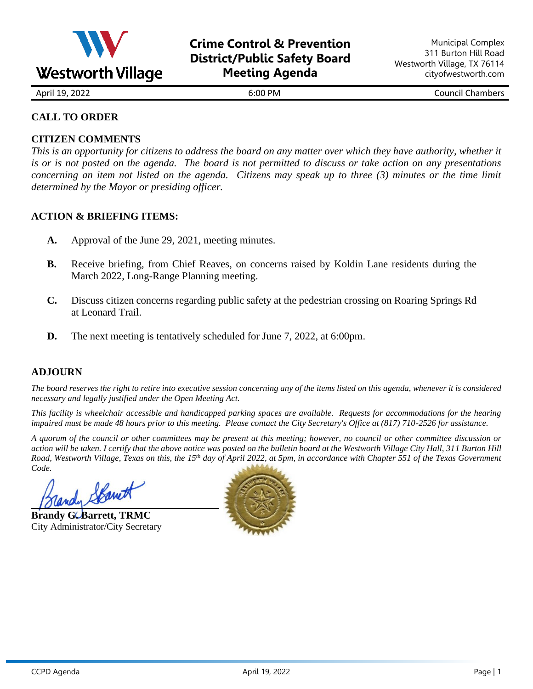

April 19, 2022 **6:00 PM** 6:00 PM Council Chambers

# **CALL TO ORDER**

## **CITIZEN COMMENTS**

*This is an opportunity for citizens to address the board on any matter over which they have authority, whether it is or is not posted on the agenda. The board is not permitted to discuss or take action on any presentations concerning an item not listed on the agenda. Citizens may speak up to three (3) minutes or the time limit determined by the Mayor or presiding officer.*

### **ACTION & BRIEFING ITEMS:**

- **A.** Approval of the June 29, 2021, meeting minutes.
- **B.** Receive briefing, from Chief Reaves, on concerns raised by Koldin Lane residents during the March 2022, Long-Range Planning meeting.
- **C.** Discuss citizen concerns regarding public safety at the pedestrian crossing on Roaring Springs Rd at Leonard Trail.
- **D.** The next meeting is tentatively scheduled for June 7, 2022, at 6:00pm.

# **ADJOURN**

*The board reserves the right to retire into executive session concerning any of the items listed on this agenda, whenever it is considered necessary and legally justified under the Open Meeting Act.*

*This facility is wheelchair accessible and handicapped parking spaces are available. Requests for accommodations for the hearing impaired must be made 48 hours prior to this meeting. Please contact the City Secretary's Office at (817) 710-2526 for assistance.*

*A quorum of the council or other committees may be present at this meeting; however, no council or other committee discussion or action will be taken. I certify that the above notice was posted on the bulletin board at the Westworth Village City Hall, 311 Burton Hill Road, Westworth Village, Texas on this, the 15 th day of April 2022, at 5pm, in accordance with Chapter 551 of the Texas Government Code.* 

1 Shawe

**Brandy G. Barrett, TRMC** City Administrator/City Secretary

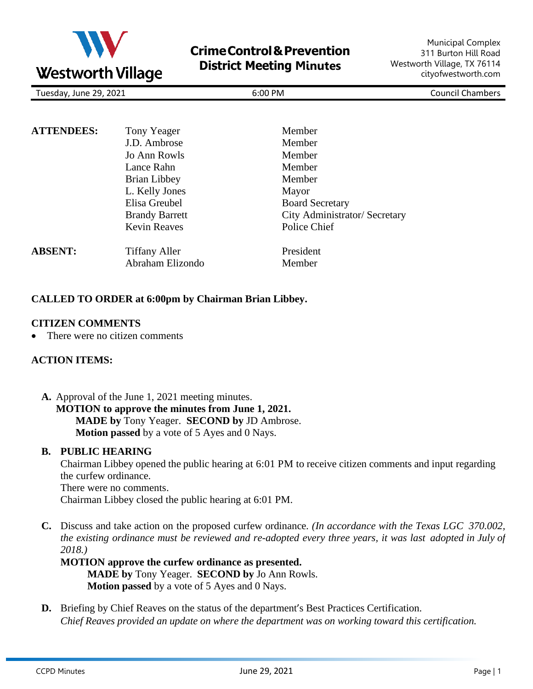

| Tuesday, June 29, 2021 |  |  |
|------------------------|--|--|
|                        |  |  |

Tuesday, June 29, 2021 6:00 PM Council Chambers

| <b>ATTENDEES:</b> | Tony Yeager           | Member                        |
|-------------------|-----------------------|-------------------------------|
|                   | J.D. Ambrose          | Member                        |
|                   | Jo Ann Rowls          | Member                        |
|                   | Lance Rahn            | Member                        |
|                   | Brian Libbey          | Member                        |
|                   | L. Kelly Jones        | Mayor                         |
|                   | Elisa Greubel         | <b>Board Secretary</b>        |
|                   | <b>Brandy Barrett</b> | City Administrator/ Secretary |
|                   | <b>Kevin Reaves</b>   | Police Chief                  |
| <b>ABSENT:</b>    | <b>Tiffany Aller</b>  | President                     |
|                   | Abraham Elizondo      | Member                        |

### **CALLED TO ORDER at 6:00pm by Chairman Brian Libbey.**

### **CITIZEN COMMENTS**

There were no citizen comments

### **ACTION ITEMS:**

**A.** Approval of the June 1, 2021 meeting minutes. **MOTION to approve the minutes from June 1, 2021. MADE by** Tony Yeager. **SECOND by** JD Ambrose. **Motion passed** by a vote of 5 Ayes and 0 Nays.

#### **B. PUBLIC HEARING**

Chairman Libbey opened the public hearing at 6:01 PM to receive citizen comments and input regarding the curfew ordinance.

There were no comments.

Chairman Libbey closed the public hearing at 6:01 PM.

**C.** Discuss and take action on the proposed curfew ordinance. *(In accordance with the Texas LGC 370.002, the existing ordinance must be reviewed and re-adopted every three years, it was last adopted in July of 2018.)*

## **MOTION approve the curfew ordinance as presented. MADE by** Tony Yeager. **SECOND by** Jo Ann Rowls. **Motion passed** by a vote of 5 Ayes and 0 Nays.

**D.** Briefing by Chief Reaves on the status of the department's Best Practices Certification. *Chief Reaves provided an update on where the department was on working toward this certification.*